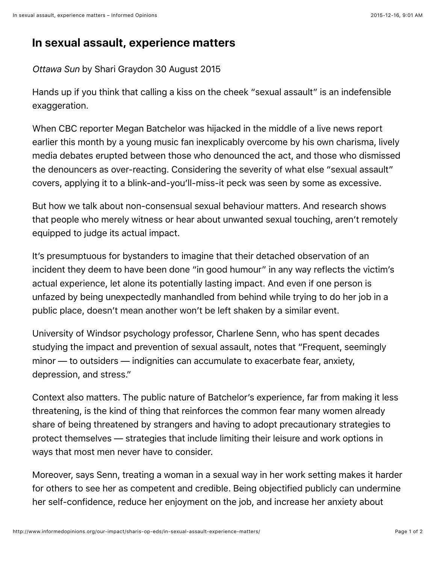## **In sexual assault, experience matters**

*Ottawa Sun* by Shari Graydon 30 August 2015

Hands up if you think that calling a kiss on the cheek "sexual assault" is an indefensible exaggeration.

When CBC reporter Megan Batchelor was hijacked in the middle of a live news report earlier this month by a young music fan inexplicably overcome by his own charisma, lively media debates erupted between those who denounced the act, and those who dismissed the denouncers as over-reacting. Considering the severity of what else "sexual assault" covers, applying it to a blink-and-you'll-miss-it peck was seen by some as excessive.

But how we talk about non-consensual sexual behaviour matters. And research shows that people who merely witness or hear about unwanted sexual touching, aren't remotely equipped to judge its actual impact.

It's presumptuous for bystanders to imagine that their detached observation of an incident they deem to have been done "in good humour" in any way reflects the victim's actual experience, let alone its potentially lasting impact. And even if one person is unfazed by being unexpectedly manhandled from behind while trying to do her job in a public place, doesn't mean another won't be left shaken by a similar event.

University of Windsor psychology professor, Charlene Senn, who has spent decades studying the impact and prevention of sexual assault, notes that "Frequent, seemingly minor — to outsiders — indignities can accumulate to exacerbate fear, anxiety, depression, and stress."

Context also matters. The public nature of Batchelor's experience, far from making it less threatening, is the kind of thing that reinforces the common fear many women already share of being threatened by strangers and having to adopt precautionary strategies to protect themselves — strategies that include limiting their leisure and work options in ways that most men never have to consider.

Moreover, says Senn, treating a woman in a sexual way in her work setting makes it harder for others to see her as competent and credible. Being objectified publicly can undermine her self-confidence, reduce her enjoyment on the job, and increase her anxiety about